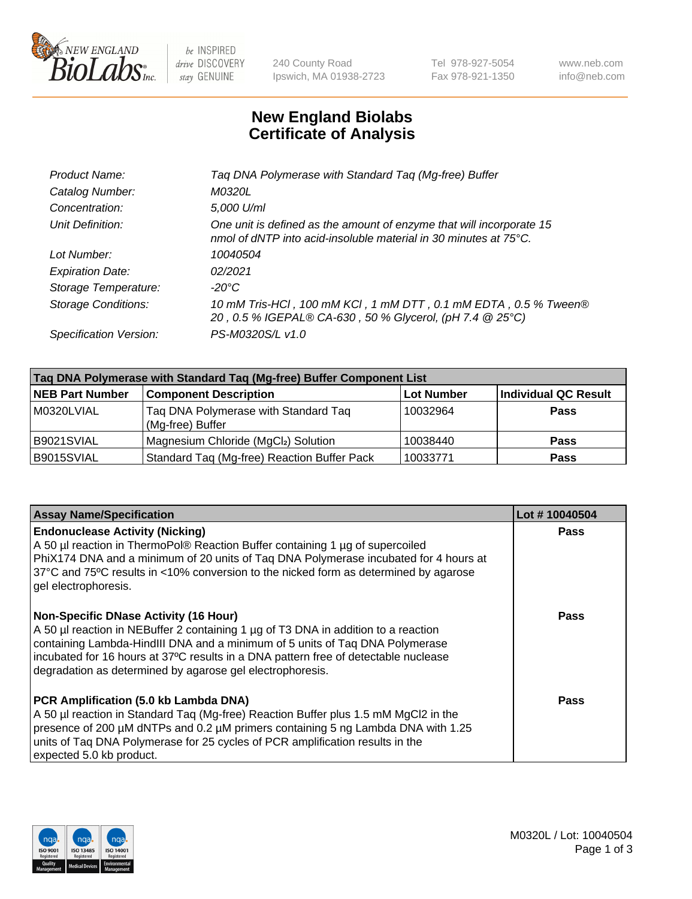

 $be$  INSPIRED drive DISCOVERY stay GENUINE

240 County Road Ipswich, MA 01938-2723 Tel 978-927-5054 Fax 978-921-1350 www.neb.com info@neb.com

## **New England Biolabs Certificate of Analysis**

| Taq DNA Polymerase with Standard Taq (Mg-free) Buffer                                                                                    |
|------------------------------------------------------------------------------------------------------------------------------------------|
| M0320L                                                                                                                                   |
| 5,000 U/ml                                                                                                                               |
| One unit is defined as the amount of enzyme that will incorporate 15<br>nmol of dNTP into acid-insoluble material in 30 minutes at 75°C. |
| 10040504                                                                                                                                 |
| 02/2021                                                                                                                                  |
| $-20^{\circ}$ C                                                                                                                          |
| 10 mM Tris-HCl, 100 mM KCl, 1 mM DTT, 0.1 mM EDTA, 0.5 % Tween®<br>20, 0.5 % IGEPAL® CA-630, 50 % Glycerol, (pH 7.4 @ 25°C)              |
| PS-M0320S/L v1.0                                                                                                                         |
|                                                                                                                                          |

| Tag DNA Polymerase with Standard Tag (Mg-free) Buffer Component List |                                                          |                   |                      |  |  |
|----------------------------------------------------------------------|----------------------------------------------------------|-------------------|----------------------|--|--|
| <b>NEB Part Number</b>                                               | <b>Component Description</b>                             | <b>Lot Number</b> | Individual QC Result |  |  |
| M0320LVIAL                                                           | Taq DNA Polymerase with Standard Taq<br>(Mg-free) Buffer | 10032964          | Pass                 |  |  |
| B9021SVIAL                                                           | Magnesium Chloride (MgCl2) Solution                      | 10038440          | Pass                 |  |  |
| B9015SVIAL                                                           | Standard Taq (Mg-free) Reaction Buffer Pack              | 10033771          | <b>Pass</b>          |  |  |

| <b>Assay Name/Specification</b>                                                                                                                                                                                                                                                                                                                                        | Lot #10040504 |
|------------------------------------------------------------------------------------------------------------------------------------------------------------------------------------------------------------------------------------------------------------------------------------------------------------------------------------------------------------------------|---------------|
| <b>Endonuclease Activity (Nicking)</b><br>A 50 µl reaction in ThermoPol® Reaction Buffer containing 1 µg of supercoiled<br>PhiX174 DNA and a minimum of 20 units of Taq DNA Polymerase incubated for 4 hours at<br>37°C and 75°C results in <10% conversion to the nicked form as determined by agarose<br>gel electrophoresis.                                        | <b>Pass</b>   |
| <b>Non-Specific DNase Activity (16 Hour)</b><br>A 50 µl reaction in NEBuffer 2 containing 1 µg of T3 DNA in addition to a reaction<br>containing Lambda-HindIII DNA and a minimum of 5 units of Taq DNA Polymerase<br>incubated for 16 hours at 37°C results in a DNA pattern free of detectable nuclease<br>degradation as determined by agarose gel electrophoresis. | Pass          |
| PCR Amplification (5.0 kb Lambda DNA)<br>A 50 µl reaction in Standard Taq (Mg-free) Reaction Buffer plus 1.5 mM MgCl2 in the<br>presence of 200 μM dNTPs and 0.2 μM primers containing 5 ng Lambda DNA with 1.25<br>units of Tag DNA Polymerase for 25 cycles of PCR amplification results in the<br>expected 5.0 kb product.                                          | Pass          |

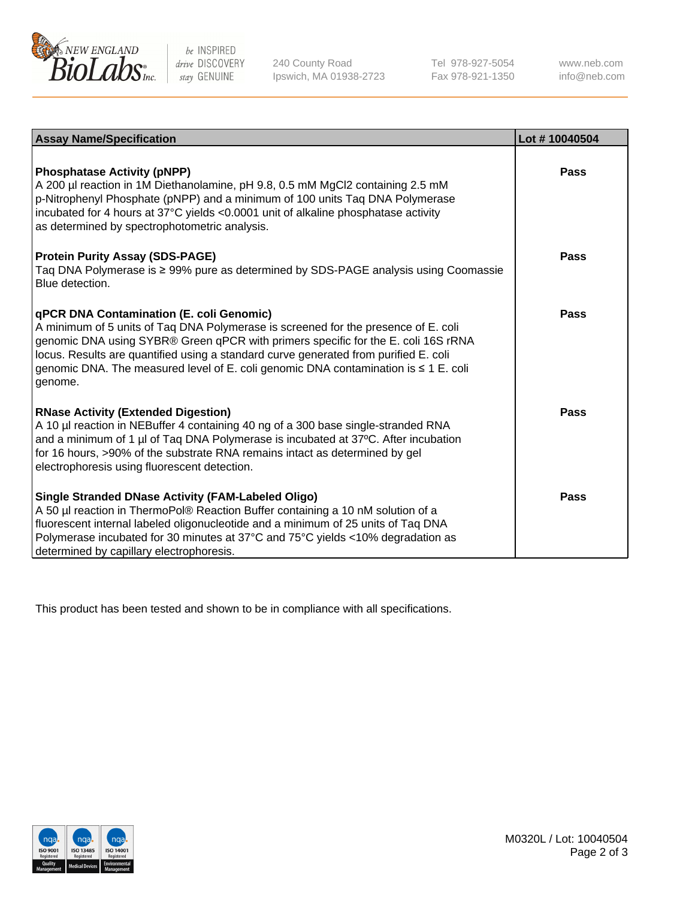

 $be$  INSPIRED drive DISCOVERY stay GENUINE

240 County Road Ipswich, MA 01938-2723 Tel 978-927-5054 Fax 978-921-1350 www.neb.com info@neb.com

| <b>Assay Name/Specification</b>                                                                                                                                                                                                                                                                                                                                                                               | Lot #10040504 |
|---------------------------------------------------------------------------------------------------------------------------------------------------------------------------------------------------------------------------------------------------------------------------------------------------------------------------------------------------------------------------------------------------------------|---------------|
| <b>Phosphatase Activity (pNPP)</b><br>A 200 µl reaction in 1M Diethanolamine, pH 9.8, 0.5 mM MgCl2 containing 2.5 mM<br>p-Nitrophenyl Phosphate (pNPP) and a minimum of 100 units Taq DNA Polymerase<br>incubated for 4 hours at 37°C yields <0.0001 unit of alkaline phosphatase activity<br>as determined by spectrophotometric analysis.                                                                   | Pass          |
| <b>Protein Purity Assay (SDS-PAGE)</b><br>Taq DNA Polymerase is ≥ 99% pure as determined by SDS-PAGE analysis using Coomassie<br>Blue detection.                                                                                                                                                                                                                                                              | Pass          |
| qPCR DNA Contamination (E. coli Genomic)<br>A minimum of 5 units of Taq DNA Polymerase is screened for the presence of E. coli<br>genomic DNA using SYBR® Green qPCR with primers specific for the E. coli 16S rRNA<br>locus. Results are quantified using a standard curve generated from purified E. coli<br>genomic DNA. The measured level of E. coli genomic DNA contamination is ≤ 1 E. coli<br>genome. | Pass          |
| <b>RNase Activity (Extended Digestion)</b><br>A 10 µl reaction in NEBuffer 4 containing 40 ng of a 300 base single-stranded RNA<br>and a minimum of 1 µl of Taq DNA Polymerase is incubated at 37°C. After incubation<br>for 16 hours, >90% of the substrate RNA remains intact as determined by gel<br>electrophoresis using fluorescent detection.                                                          | Pass          |
| <b>Single Stranded DNase Activity (FAM-Labeled Oligo)</b><br>A 50 µl reaction in ThermoPol® Reaction Buffer containing a 10 nM solution of a<br>fluorescent internal labeled oligonucleotide and a minimum of 25 units of Taq DNA<br>Polymerase incubated for 30 minutes at 37°C and 75°C yields <10% degradation as<br>determined by capillary electrophoresis.                                              | Pass          |

This product has been tested and shown to be in compliance with all specifications.